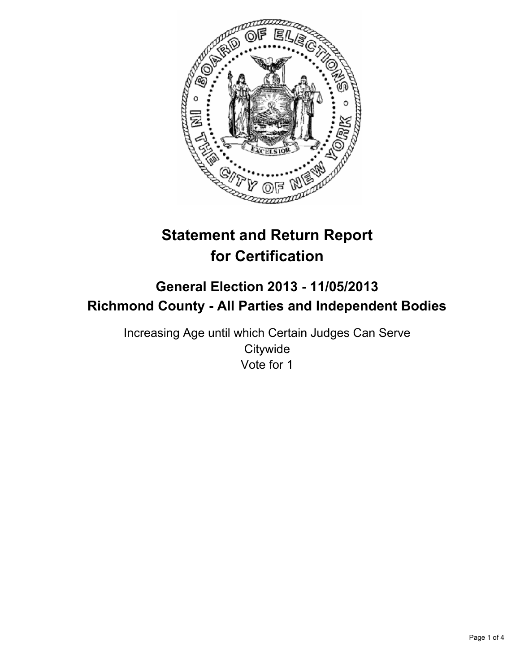

# **Statement and Return Report for Certification**

## **General Election 2013 - 11/05/2013 Richmond County - All Parties and Independent Bodies**

Increasing Age until which Certain Judges Can Serve **Citywide** Vote for 1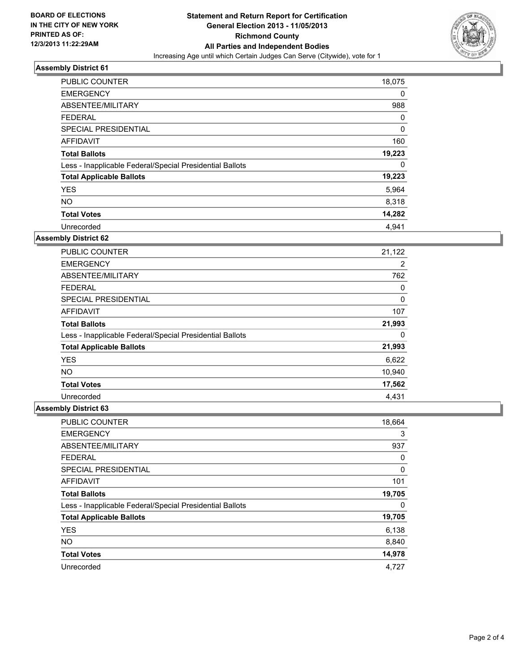

### **Assembly District 61**

| <b>PUBLIC COUNTER</b>                                    | 18,075 |
|----------------------------------------------------------|--------|
| <b>EMERGENCY</b>                                         | 0      |
| ABSENTEE/MILITARY                                        | 988    |
| <b>FEDERAL</b>                                           | 0      |
| SPECIAL PRESIDENTIAL                                     | 0      |
| AFFIDAVIT                                                | 160    |
| <b>Total Ballots</b>                                     | 19,223 |
| Less - Inapplicable Federal/Special Presidential Ballots | 0      |
| <b>Total Applicable Ballots</b>                          | 19,223 |
| <b>YES</b>                                               | 5,964  |
| <b>NO</b>                                                | 8,318  |
| <b>Total Votes</b>                                       | 14,282 |
| Unrecorded                                               | 4,941  |

### **Assembly District 62**

| <b>PUBLIC COUNTER</b>                                    | 21,122 |
|----------------------------------------------------------|--------|
| <b>EMERGENCY</b>                                         | 2      |
| ABSENTEE/MILITARY                                        | 762    |
| <b>FEDERAL</b>                                           | 0      |
| <b>SPECIAL PRESIDENTIAL</b>                              | 0      |
| AFFIDAVIT                                                | 107    |
| <b>Total Ballots</b>                                     | 21,993 |
| Less - Inapplicable Federal/Special Presidential Ballots | 0      |
| <b>Total Applicable Ballots</b>                          | 21,993 |
| <b>YES</b>                                               | 6,622  |
| <b>NO</b>                                                | 10,940 |
| <b>Total Votes</b>                                       | 17,562 |
| Unrecorded                                               | 4.431  |

### **Assembly District 63**

| PUBLIC COUNTER                                           | 18,664 |
|----------------------------------------------------------|--------|
| <b>EMERGENCY</b>                                         | 3      |
| ABSENTEE/MILITARY                                        | 937    |
| <b>FEDERAL</b>                                           | 0      |
| SPECIAL PRESIDENTIAL                                     | 0      |
| AFFIDAVIT                                                | 101    |
| <b>Total Ballots</b>                                     | 19,705 |
| Less - Inapplicable Federal/Special Presidential Ballots | 0      |
| <b>Total Applicable Ballots</b>                          | 19,705 |
| <b>YES</b>                                               | 6,138  |
| <b>NO</b>                                                | 8,840  |
| <b>Total Votes</b>                                       | 14,978 |
| Unrecorded                                               | 4,727  |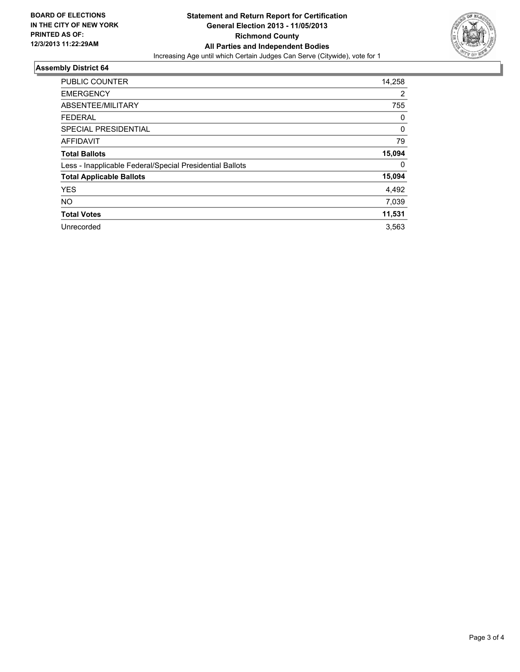

### **Assembly District 64**

| <b>PUBLIC COUNTER</b>                                    | 14,258 |
|----------------------------------------------------------|--------|
|                                                          |        |
| <b>EMERGENCY</b>                                         | 2      |
| ABSENTEE/MILITARY                                        | 755    |
| <b>FEDERAL</b>                                           | 0      |
| SPECIAL PRESIDENTIAL                                     | 0      |
| <b>AFFIDAVIT</b>                                         | 79     |
| <b>Total Ballots</b>                                     | 15,094 |
| Less - Inapplicable Federal/Special Presidential Ballots | 0      |
| <b>Total Applicable Ballots</b>                          | 15,094 |
| <b>YES</b>                                               | 4,492  |
| <b>NO</b>                                                | 7,039  |
| <b>Total Votes</b>                                       | 11,531 |
| Unrecorded                                               | 3,563  |